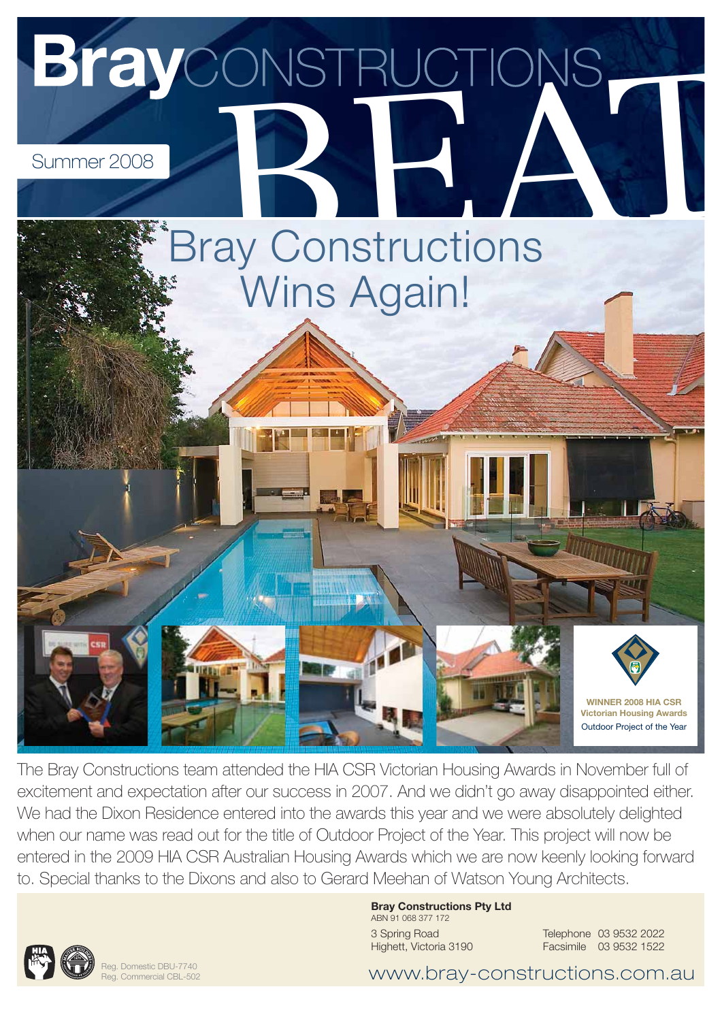

The Bray Constructions team attended the HIA CSR Victorian Housing Awards in November full of excitement and expectation after our success in 2007. And we didn't go away disappointed either. We had the Dixon Residence entered into the awards this year and we were absolutely delighted when our name was read out for the title of Outdoor Project of the Year. This project will now be entered in the 2009 HIA CSR Australian Housing Awards which we are now keenly looking forward to. Special thanks to the Dixons and also to Gerard Meehan of Watson Young Architects.



3 Spring Road Highett, Victoria 3190 Telephone 03 9532 2022 Facsimile 03 9532 1522



Reg. Domestic DBU-7740 Reg. Commercial CBL-502

www.bray-constructions.com.au